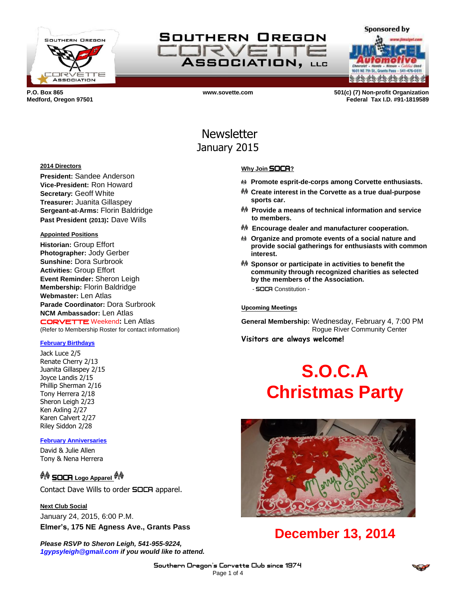

SOUTHERN OREGON **TRVE** ASSOCIATION, LLC

**a da da da da da da d** 

**Sponsored by** 

**P.O. Box 865 www.sovette.com 501(c) (7) Non-profit Organization Medford, Oregon 97501 Federal Tax I.D. #91-1819589**

## Newsletter January 2015

### **2014 Directors**

**President:** Sandee Anderson **Vice-President:** Ron Howard **Secretary:** Geoff White **Treasurer:** Juanita Gillaspey **Sergeant-at-Arms:** Florin Baldridge **Past President (2013):** Dave Wills

### **Appointed Positions**

**Historian:** Group Effort **Photographer:** Jody Gerber **Sunshine:** Dora Surbrook **Activities:** Group Effort **Event Reminder:** Sheron Leigh **Membership:** Florin Baldridge **Webmaster:** Len Atlas **Parade Coordinator:** Dora Surbrook **NCM Ambassador:** Len Atlas CORVETTE Weekend**:** Len Atlas (Refer to Membership Roster for contact information)

### **February Birthdays**

Jack Luce 2/5 Renate Cherry 2/13 Juanita Gillaspey 2/15 Joyce Landis 2/15 Phillip Sherman 2/16 Tony Herrera 2/18 Sheron Leigh 2/23 Ken Axling 2/27 Karen Calvert 2/27 Riley Siddon 2/28

### **February Anniversaries**

David & Julie Allen Tony & Nena Herrera

## <sup>��</sup> SOCA Logo Apparel <sup>��</sup>

Contact Dave Wills to order **SOCA** apparel.

**Next Club Social** January 24, 2015, 6:00 P.M.

**Elmer's, 175 NE Agness Ave., Grants Pass**

*Please RSVP to Sheron Leigh, 541-955-9224, 1gypsyleigh@gmail.com if you would like to attend.*

### **Why Join** SOCA**?**

- **Promote esprit-de-corps among Corvette enthusiasts.**
- **Create interest in the Corvette as a true dual-purpose sports car.**
- **Provide a means of technical information and service to members.**
- **Encourage dealer and manufacturer cooperation.**
- **Organize and promote events of a social nature and provide social gatherings for enthusiasts with common interest.**
- **Sponsor or participate in activities to benefit the community through recognized charities as selected by the members of the Association.** - SOCA Constitution -

#### **Upcoming Meetings**

**General Membership:** Wednesday, February 4, 7:00 PM Rogue River Community Center **Visitors are always welcome!**

# **S.O.C.A Christmas Party**



## **December 13, 2014**

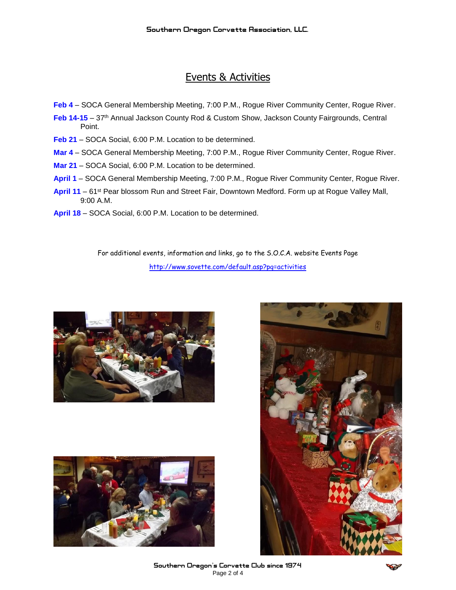## Events & Activities

- **Feb 4** SOCA General Membership Meeting, 7:00 P.M., Rogue River Community Center, Rogue River.
- Feb 14-15 37<sup>th</sup> Annual Jackson County Rod & Custom Show, Jackson County Fairgrounds, Central Point.
- Feb 21 SOCA Social, 6:00 P.M. Location to be determined.
- **Mar 4** SOCA General Membership Meeting, 7:00 P.M., Rogue River Community Center, Rogue River.
- **Mar 21** SOCA Social, 6:00 P.M. Location to be determined.
- **April 1** SOCA General Membership Meeting, 7:00 P.M., Rogue River Community Center, Rogue River.
- April 11 61<sup>st</sup> Pear blossom Run and Street Fair, Downtown Medford. Form up at Rogue Valley Mall, 9:00 A.M.
- **April 18** SOCA Social, 6:00 P.M. Location to be determined.

For additional events, information and links, go to the S.O.C.A. website Events Page <http://www.sovette.com/default.asp?pg=activities>







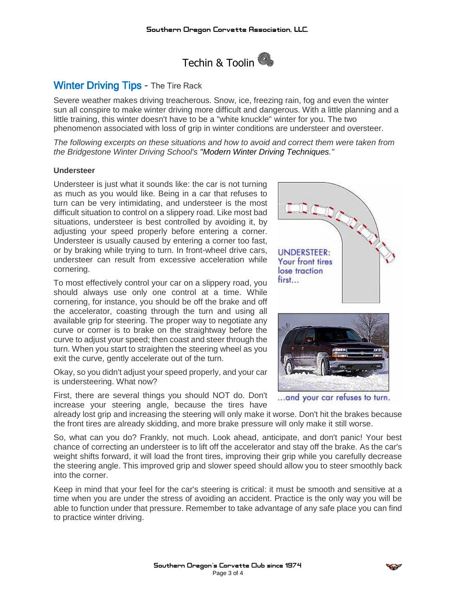

## Winter Driving Tips - The Tire Rack

Severe weather makes driving treacherous. Snow, ice, freezing rain, fog and even the winter sun all conspire to make winter driving more difficult and dangerous. With a little planning and a little training, this winter doesn't have to be a "white knuckle" winter for you. The two phenomenon associated with loss of grip in winter conditions are understeer and oversteer.

*The following excerpts on these situations and how to avoid and correct them were taken from the Bridgestone Winter Driving School's ["Modern Winter Driving Techniques.](http://www.tirerack.com/winter/tech/whyskid.jsp)"*

### **Understeer**

Understeer is just what it sounds like: the car is not turning as much as you would like. Being in a car that refuses to turn can be very intimidating, and understeer is the most difficult situation to control on a slippery road. Like most bad situations, understeer is best controlled by avoiding it, by adjusting your speed properly before entering a corner. Understeer is usually caused by entering a corner too fast, or by braking while trying to turn. In front-wheel drive cars, understeer can result from excessive acceleration while cornering.

To most effectively control your car on a slippery road, you should always use only one control at a time. While cornering, for instance, you should be off the brake and off the accelerator, coasting through the turn and using all available grip for steering. The proper way to negotiate any curve or corner is to brake on the straightway before the curve to adjust your speed; then coast and steer through the turn. When you start to straighten the steering wheel as you exit the curve, gently accelerate out of the turn.

Okay, so you didn't adjust your speed properly, and your car is understeering. What now?

First, there are several things you should NOT do. Don't increase your steering angle, because the tires have



... and your car refuses to turn.

already lost grip and increasing the steering will only make it worse. Don't hit the brakes because the front tires are already skidding, and more brake pressure will only make it still worse.

So, what can you do? Frankly, not much. Look ahead, anticipate, and don't panic! Your best chance of correcting an understeer is to lift off the accelerator and stay off the brake. As the car's weight shifts forward, it will load the front tires, improving their grip while you carefully decrease the steering angle. This improved grip and slower speed should allow you to steer smoothly back into the corner.

Keep in mind that your feel for the car's steering is critical: it must be smooth and sensitive at a time when you are under the stress of avoiding an accident. Practice is the only way you will be able to function under that pressure. Remember to take advantage of any safe place you can find to practice winter driving.